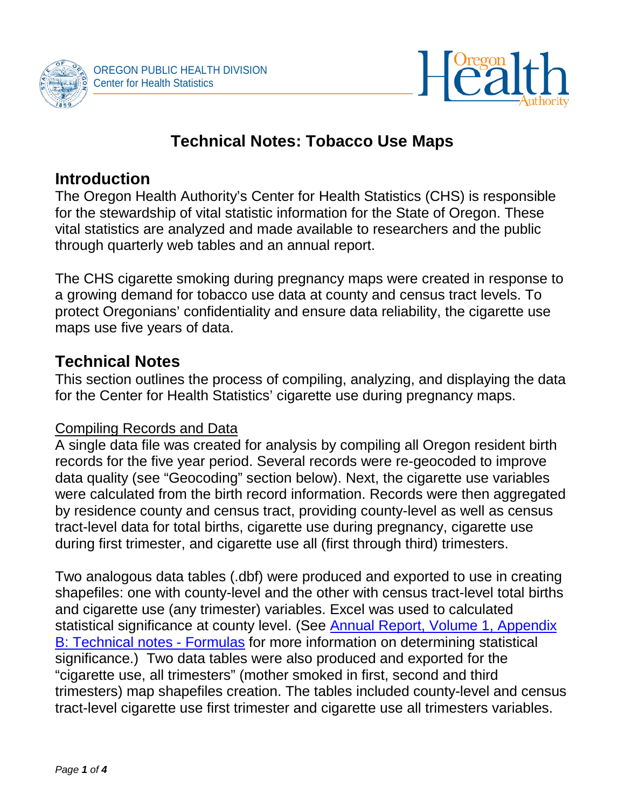



# **Technical Notes: Tobacco Use Maps**

# **Introduction**

The Oregon Health Authority's Center for Health Statistics (CHS) is responsible for the stewardship of vital statistic information for the State of Oregon. These vital statistics are analyzed and made available to researchers and the public through quarterly web tables and an annual report.

The CHS cigarette smoking during pregnancy maps were created in response to a growing demand for tobacco use data at county and census tract levels. To protect Oregonians' confidentiality and ensure data reliability, the cigarette use maps use five years of data.

# **Technical Notes**

This section outlines the process of compiling, analyzing, and displaying the data for the Center for Health Statistics' cigarette use during pregnancy maps.

#### Compiling Records and Data

A single data file was created for analysis by compiling all Oregon resident birth records for the five year period. Several records were re-geocoded to improve data quality (see "Geocoding" section below). Next, the cigarette use variables were calculated from the birth record information. Records were then aggregated by residence county and census tract, providing county-level as well as census tract-level data for total births, cigarette use during pregnancy, cigarette use during first trimester, and cigarette use all (first through third) trimesters.

Two analogous data tables (.dbf) were produced and exported to use in creating shapefiles: one with county-level and the other with census tract-level total births and cigarette use (any trimester) variables. Excel was used to calculated statistical significance at county level. (See [Annual Report, Volume 1, Appendix](http://www.oregon.gov/OHA/PH/BIRTHDEATHCERTIFICATES/VITALSTATISTICS/ANNUALREPORTS/VOLUME1/Documents/2015/Formulas.pdf)  [B: Technical notes -](http://www.oregon.gov/OHA/PH/BIRTHDEATHCERTIFICATES/VITALSTATISTICS/ANNUALREPORTS/VOLUME1/Documents/2015/Formulas.pdf) Formulas for more information on determining statistical significance.) Two data tables were also produced and exported for the "cigarette use, all trimesters" (mother smoked in first, second and third trimesters) map shapefiles creation. The tables included county-level and census tract-level cigarette use first trimester and cigarette use all trimesters variables.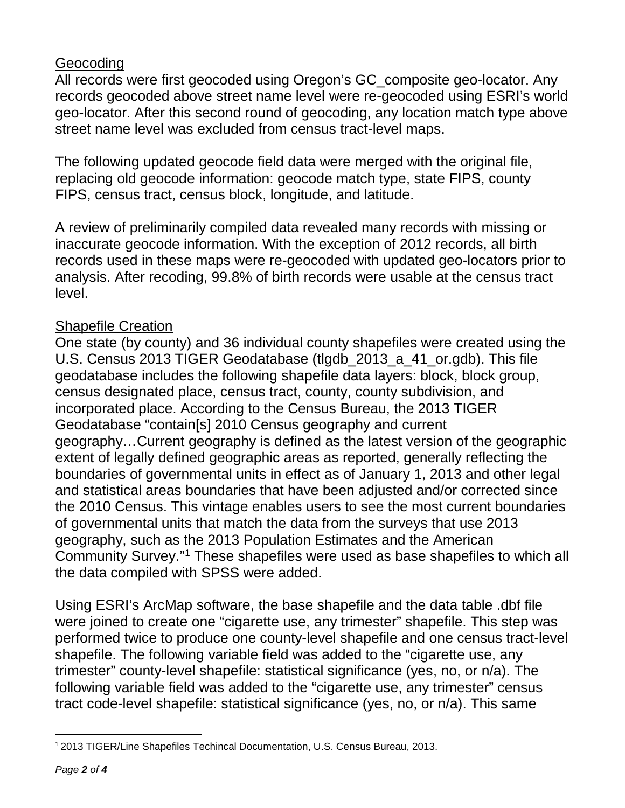#### Geocoding

All records were first geocoded using Oregon's GC\_composite geo-locator. Any records geocoded above street name level were re-geocoded using ESRI's world geo-locator. After this second round of geocoding, any location match type above street name level was excluded from census tract-level maps.

The following updated geocode field data were merged with the original file, replacing old geocode information: geocode match type, state FIPS, county FIPS, census tract, census block, longitude, and latitude.

A review of preliminarily compiled data revealed many records with missing or inaccurate geocode information. With the exception of 2012 records, all birth records used in these maps were re-geocoded with updated geo-locators prior to analysis. After recoding, 99.8% of birth records were usable at the census tract level.

#### Shapefile Creation

One state (by county) and 36 individual county shapefiles were created using the U.S. Census 2013 TIGER Geodatabase (tlgdb\_2013\_a\_41\_or.gdb). This file geodatabase includes the following shapefile data layers: block, block group, census designated place, census tract, county, county subdivision, and incorporated place. According to the Census Bureau, the 2013 TIGER Geodatabase "contain[s] 2010 Census geography and current geography…Current geography is defined as the latest version of the geographic extent of legally defined geographic areas as reported, generally reflecting the boundaries of governmental units in effect as of January 1, 2013 and other legal and statistical areas boundaries that have been adjusted and/or corrected since the 2010 Census. This vintage enables users to see the most current boundaries of governmental units that match the data from the surveys that use 2013 geography, such as the 2013 Population Estimates and the American Community Survey."[1](#page-1-0) These shapefiles were used as base shapefiles to which all the data compiled with SPSS were added.

Using ESRI's ArcMap software, the base shapefile and the data table .dbf file were joined to create one "cigarette use, any trimester" shapefile. This step was performed twice to produce one county-level shapefile and one census tract-level shapefile. The following variable field was added to the "cigarette use, any trimester" county-level shapefile: statistical significance (yes, no, or n/a). The following variable field was added to the "cigarette use, any trimester" census tract code-level shapefile: statistical significance (yes, no, or n/a). This same

<span id="page-1-0"></span> $\overline{a}$ <sup>1</sup> 2013 TIGER/Line Shapefiles Techincal Documentation, U.S. Census Bureau, 2013.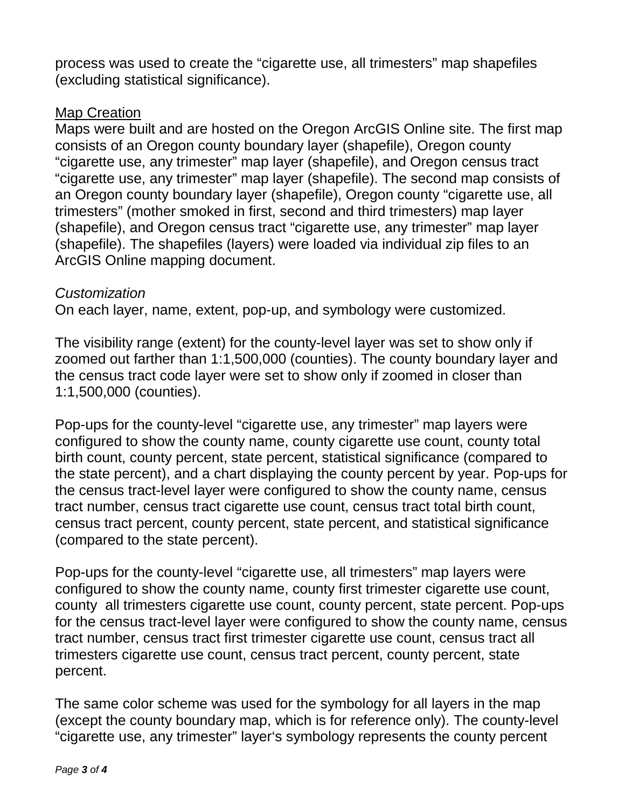process was used to create the "cigarette use, all trimesters" map shapefiles (excluding statistical significance).

#### Map Creation

Maps were built and are hosted on the Oregon ArcGIS Online site. The first map consists of an Oregon county boundary layer (shapefile), Oregon county "cigarette use, any trimester" map layer (shapefile), and Oregon census tract "cigarette use, any trimester" map layer (shapefile). The second map consists of an Oregon county boundary layer (shapefile), Oregon county "cigarette use, all trimesters" (mother smoked in first, second and third trimesters) map layer (shapefile), and Oregon census tract "cigarette use, any trimester" map layer (shapefile). The shapefiles (layers) were loaded via individual zip files to an ArcGIS Online mapping document.

#### *Customization*

On each layer, name, extent, pop-up, and symbology were customized.

The visibility range (extent) for the county-level layer was set to show only if zoomed out farther than 1:1,500,000 (counties). The county boundary layer and the census tract code layer were set to show only if zoomed in closer than 1:1,500,000 (counties).

Pop-ups for the county-level "cigarette use, any trimester" map layers were configured to show the county name, county cigarette use count, county total birth count, county percent, state percent, statistical significance (compared to the state percent), and a chart displaying the county percent by year. Pop-ups for the census tract-level layer were configured to show the county name, census tract number, census tract cigarette use count, census tract total birth count, census tract percent, county percent, state percent, and statistical significance (compared to the state percent).

Pop-ups for the county-level "cigarette use, all trimesters" map layers were configured to show the county name, county first trimester cigarette use count, county all trimesters cigarette use count, county percent, state percent. Pop-ups for the census tract-level layer were configured to show the county name, census tract number, census tract first trimester cigarette use count, census tract all trimesters cigarette use count, census tract percent, county percent, state percent.

The same color scheme was used for the symbology for all layers in the map (except the county boundary map, which is for reference only). The county-level "cigarette use, any trimester" layer's symbology represents the county percent